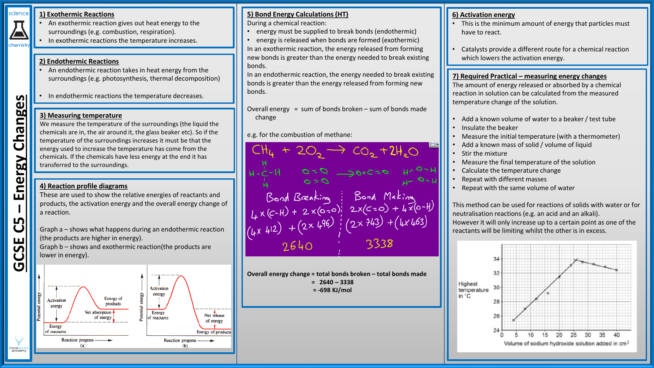#### science **1) Exothermic Reactions**

**– Energy Changes**

nergy

ய

Changes

chemist

- An exothermic reaction gives out heat energy to the surroundings (e.g. combustion, respiration).
- In exothermic reactions the temperature increases.

#### **2) Endothermic Reactions**

- An endothermic reaction takes in heat energy from the surroundings (e.g. photosynthesis, thermal decomposition)
- In endothermic reactions the temperature decreases.

#### **3) Measuring temperature**

We measure the temperature of the surroundings (the liquid the chemicals are in, the air around it, the glass beaker etc). So if the temperature of the surroundings increases it must be that the energy used to increase the temperature has come from the chemicals. If the chemicals have less energy at the end it has transferred to the surroundings.

# **4) Reaction profile diagrams**

These are used to show the relative energies of reactants and products, the activation energy and the overall energy change of a reaction.

Graph a – shows what happens during an endothermic reaction (the products are higher in energy). Graph b – shows and exothermic reaction(the products are lower in energy).



# **5) Bond Energy Calculations (HT)**

During a chemical reaction:

- energy must be supplied to break bonds (endothermic)
- energy is released when bonds are formed (exothermic) In an exothermic reaction, the energy released from forming new bonds is greater than the energy needed to break existing bonds.

In an endothermic reaction, the energy needed to break existing bonds is greater than the energy released from forming new bonds.

- Overall energy = sum of bonds broken  $-$  sum of bonds made change
- e.g. for the combustion of methane:

CH<sub>4</sub> + 20<sub>2</sub> -> co<sub>2</sub> + 2H<sub>2</sub>O<br>  $H - \frac{1}{c}$ -H<br>  $G = 0$ <br>  $H - \frac{1}{c}$ -H<br>
Sond Breaking<br>
(Lx (c-H) + 2 × (o-o);<br>
2x(c-o) + 4 × (o-H)<br>
(Lx 412) + (2x 496);<br>
2640<br>
2640<br>
2338

**Overall energy change = total bonds broken – total bonds made = 2640 – 3338 = -698 KJ/mol**

#### **6) Activation energy**

- This is the minimum amount of energy that particles must have to react.
- Catalysts provide a different route for a chemical reaction which lowers the activation energy.

#### **7) Required Practical – measuring energy changes**

The amount of energy released or absorbed by a chemical reaction in solution can be calculated from the measured temperature change of the solution.

- Add a known volume of water to a beaker / test tube
- Insulate the beaker
- Measure the initial temperature (with a thermometer)
- Add a known mass of solid / volume of liquid
- Stir the mixture
- Measure the final temperature of the solution
- Calculate the temperature change
- Repeat with different masses
- Repeat with the same volume of water

This method can be used for reactions of solids with water or for neutralisation reactions (e.g. an acid and an alkali). However it will only increase up to a certain point as one of the reactants will be limiting whilst the other is in excess.